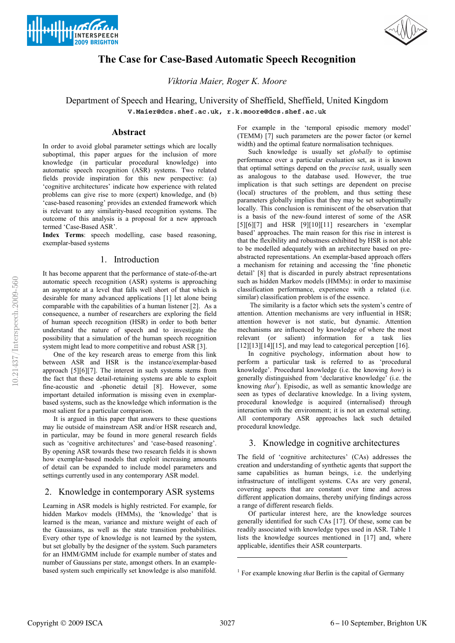



## **The Case for Case-Based Automatic Speech Recognition**

*Viktoria Maier, Roger K. Moore*

# Department of Speech and Hearing, University of Sheffield, Sheffield, United Kingdom

V.Maier@dcs.shef.ac.uk, r.k.moore@dcs.shef.ac.uk

### **Abstract**

In order to avoid global parameter settings which are locally suboptimal, this paper argues for the inclusion of more knowledge (in particular procedural knowledge) into automatic speech recognition (ASR) systems. Two related fields provide inspiration for this new perspective: (a) 'cognitive architectures' indicate how experience with related problems can give rise to more (expert) knowledge, and (b) 'case-based reasoning' provides an extended framework which is relevant to any similarity-based recognition systems. The outcome of this analysis is a proposal for a new approach termed 'Case-Based ASR'.

**Index Terms**: speech modelling, case based reasoning, exemplar-based systems

### 1. Introduction

It has become apparent that the performance of state-of-the-art automatic speech recognition (ASR) systems is approaching an asymptote at a level that falls well short of that which is desirable for many advanced applications [1] let alone being comparable with the capabilities of a human listener [2]. As a consequence, a number of researchers are exploring the field of human speech recognition (HSR) in order to both better understand the nature of speech and to investigate the possibility that a simulation of the human speech recognition system might lead to more competitive and robust ASR [3].

One of the key research areas to emerge from this link between ASR and HSR is the instance/exemplar-based approach [5][6][7]. The interest in such systems stems from the fact that these detail-retaining systems are able to exploit fine-acoustic and -phonetic detail [8]. However, some important detailed information is missing even in exemplarbased systems, such as the knowledge which information is the most salient for a particular comparison.

It is argued in this paper that answers to these questions may lie outside of mainstream ASR and/or HSR research and, in particular, may be found in more general research fields such as 'cognitive architectures' and 'case-based reasoning'. By opening ASR towards these two research fields it is shown how exemplar-based models that exploit increasing amounts of detail can be expanded to include model parameters and settings currently used in any contemporary ASR model.

### 2. Knowledge in contemporary ASR systems

Learning in ASR models is highly restricted. For example, for hidden Markov models (HMMs), the 'knowledge' that is learned is the mean, variance and mixture weight of each of the Gaussians, as well as the state transition probabilities. Every other type of knowledge is not learned by the system, but set globally by the designer of the system. Such parameters for an HMM/GMM include for example number of states and number of Gaussians per state, amongst others. In an examplebased system such empirically set knowledge is also manifold.

For example in the 'temporal episodic memory model' (TEMM) [7] such parameters are the power factor (or kernel width) and the optimal feature normalisation techniques.

Such knowledge is usually set *globally* to optimise performance over a particular evaluation set, as it is known that optimal settings depend on the *precise task*, usually seen as analogous to the database used. However, the true implication is that such settings are dependent on precise (local) structures of the problem, and thus setting these parameters globally implies that they may be set suboptimally locally. This conclusion is reminiscent of the observation that is a basis of the new-found interest of some of the ASR  $[5][6][7]$  and HSR  $[9][10][11]$  researchers in 'exemplar based' approaches. The main reason for this rise in interest is that the flexibility and robustness exhibited by HSR is not able to be modelled adequately with an architecture based on preabstracted representations. An exemplar-based approach offers a mechanism for retaining and accessing the 'fine phonetic detail' [8] that is discarded in purely abstract representations such as hidden Markov models (HMMs): in order to maximise classification performance, experience with a related (i.e. similar) classification problem is of the essence.

 The similarity is a factor which sets the system's centre of attention. Attention mechanisms are very influential in HSR; attention however is not static, but dynamic. Attention mechanisms are influenced by knowledge of where the most relevant (or salient) information for a task lies  $[12][13][14][15]$ , and may lead to categorical perception [16].

In cognitive psychology, information about how to perform a particular task is referred to as 'procedural knowledge'. Procedural knowledge (i.e. the knowing *how*) is generally distinguished from 'declarative knowledge' (i.e. the knowing *that<sup>1</sup>* ). Episodic, as well as semantic knowledge are seen as types of declarative knowledge. In a living system, procedural knowledge is acquired (internalised) through interaction with the environment; it is not an external setting. All contemporary ASR approaches lack such detailed procedural knowledge.

### 3. Knowledge in cognitive architectures

The field of 'cognitive architectures' (CAs) addresses the creation and understanding of synthetic agents that support the same capabilities as human beings, i.e. the underlying infrastructure of intelligent systems. CAs are very general, covering aspects that are constant over time and across different application domains, thereby unifying findings across a range of different research fields.

Of particular interest here, are the knowledge sources generally identified for such CAs [17]. Of these, some can be readily associated with knowledge types used in ASR. Table 1 lists the knowledge sources mentioned in [17] and, where applicable, identifies their ASR counterparts.

1

<sup>&</sup>lt;sup>1</sup> For example knowing *that* Berlin is the capital of Germany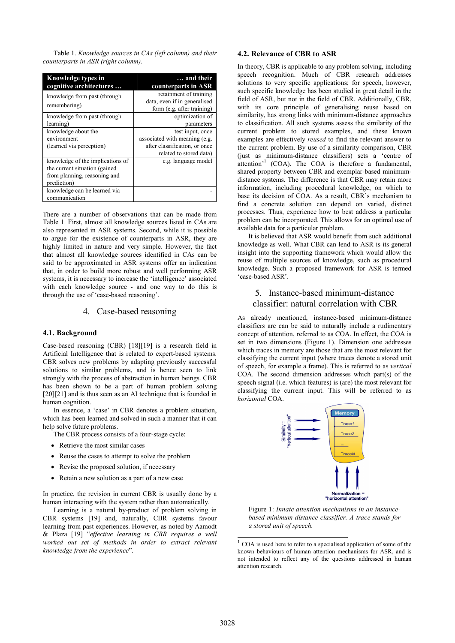Table 1. *Knowledge sources in CAs (left column) and their counterparts in ASR (right column).* 

| Knowledge types in<br>cognitive architectures                                                                     | and their<br>counterparts in ASR                                                                              |
|-------------------------------------------------------------------------------------------------------------------|---------------------------------------------------------------------------------------------------------------|
| knowledge from past (through<br>remembering)                                                                      | retainment of training<br>data, even if in generalised<br>form (e.g. after training)                          |
| knowledge from past (through<br>learning)                                                                         | optimization of<br>parameters                                                                                 |
| knowledge about the<br>environment<br>(learned via perception)                                                    | test input, once<br>associated with meaning (e.g.<br>after classification, or once<br>related to stored data) |
| knowledge of the implications of<br>the current situation (gained)<br>from planning, reasoning and<br>prediction) | e.g. language model                                                                                           |
| knowledge can be learned via<br>communication                                                                     |                                                                                                               |

There are a number of observations that can be made from Table 1. First, almost all knowledge sources listed in CAs are also represented in ASR systems. Second, while it is possible to argue for the existence of counterparts in ASR, they are highly limited in nature and very simple. However, the fact that almost all knowledge sources identified in CAs can be said to be approximated in ASR systems offer an indication that, in order to build more robust and well performing ASR systems, it is necessary to increase the 'intelligence' associated with each knowledge source - and one way to do this is through the use of 'case-based reasoning'.

### 4. Case-based reasoning

#### **4.1. Background**

Case-based reasoning (CBR) [18][19] is a research field in Artificial Intelligence that is related to expert-based systems. CBR solves new problems by adapting previously successful solutions to similar problems, and is hence seen to link strongly with the process of abstraction in human beings. CBR has been shown to be a part of human problem solving [20][21] and is thus seen as an AI technique that is founded in human cognition.

In essence, a 'case' in CBR denotes a problem situation, which has been learned and solved in such a manner that it can help solve future problems.

The CBR process consists of a four-stage cycle:

- Retrieve the most similar cases
- Reuse the cases to attempt to solve the problem
- Revise the proposed solution, if necessary
- Retain a new solution as a part of a new case

In practice, the revision in current CBR is usually done by a human interacting with the system rather than automatically.

Learning is a natural by-product of problem solving in CBR systems [19] and, naturally, CBR systems favour learning from past experiences. However, as noted by Aamodt & Plaza [19] "*effective learning in CBR requires a well worked out set of methods in order to extract relevant knowledge from the experience*".

### **4.2. Relevance of CBR to ASR**

In theory, CBR is applicable to any problem solving, including speech recognition. Much of CBR research addresses solutions to very specific applications; for speech, however, such specific knowledge has been studied in great detail in the field of ASR, but not in the field of CBR. Additionally, CBR, with its core principle of generalising reuse based on similarity, has strong links with minimum-distance approaches to classification. All such systems assess the similarity of the current problem to stored examples, and these known examples are effectively *reused* to find the relevant answer to the current problem. By use of a similarity comparison, CBR (just as minimum-distance classifiers) sets a 'centre of attention<sup>-1</sup> (COA). The COA is therefore a fundamental, shared property between CBR and exemplar-based minimumdistance systems. The difference is that CBR may retain more information, including procedural knowledge, on which to base its decision of COA. As a result, CBR's mechanism to find a concrete solution can depend on varied, distinct processes. Thus, experience how to best address a particular problem can be incorporated. This allows for an optimal use of available data for a particular problem.

It is believed that ASR would benefit from such additional knowledge as well. What CBR can lend to ASR is its general insight into the supporting framework which would allow the reuse of multiple sources of knowledge, such as procedural knowledge. Such a proposed framework for ASR is termed 'case-based ASR'.

### 5. Instance-based minimum-distance classifier: natural correlation with CBR

As already mentioned, instance-based minimum-distance classifiers are can be said to naturally include a rudimentary concept of attention, referred to as COA. In effect, the COA is set in two dimensions (Figure 1). Dimension one addresses which traces in memory are those that are the most relevant for classifying the current input (where traces denote a stored unit of speech, for example a frame). This is referred to as *vertical* COA. The second dimension addresses which part(s) of the speech signal (i.e. which features) is (are) the most relevant for classifying the current input. This will be referred to as *horizontal* COA.



Figure 1: *Innate attention mechanisms in an instancebased minimum-distance classifier. A trace stands for a stored unit of speech.*

 1 COA is used here to refer to a specialised application of some of the known behaviours of human attention mechanisms for ASR, and is not intended to reflect any of the questions addressed in human attention research.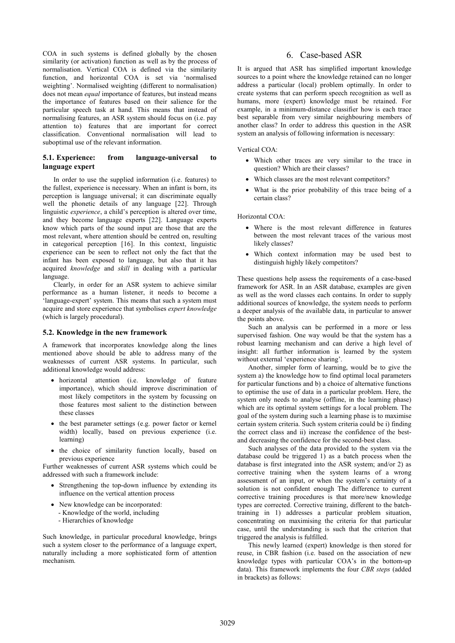COA in such systems is defined globally by the chosen similarity (or activation) function as well as by the process of normalisation. Vertical COA is defined via the similarity function, and horizontal COA is set via 'normalised weighting'. Normalised weighting (different to normalisation) does not mean *equal* importance of features, but instead means the importance of features based on their salience for the particular speech task at hand. This means that instead of normalising features, an ASR system should focus on (i.e. pay attention to) features that are important for correct classification. Conventional normalisation will lead to suboptimal use of the relevant information.

### **5.1. Experience: from language-universal to language expert**

In order to use the supplied information (i.e. features) to the fullest, experience is necessary. When an infant is born, its perception is language universal; it can discriminate equally well the phonetic details of any language [22]. Through linguistic *experience*, a child's perception is altered over time, and they become language experts [22]. Language experts know which parts of the sound input are those that are the most relevant, where attention should be centred on, resulting in categorical perception [16]. In this context, linguistic experience can be seen to reflect not only the fact that the infant has been exposed to language, but also that it has acquired *knowledge* and *skill* in dealing with a particular language.

Clearly, in order for an ASR system to achieve similar performance as a human listener, it needs to become a 'language-expert' system. This means that such a system must acquire and store experience that symbolises *expert knowledge* (which is largely procedural).

#### **5.2. Knowledge in the new framework**

A framework that incorporates knowledge along the lines mentioned above should be able to address many of the weaknesses of current ASR systems. In particular, such additional knowledge would address:

- horizontal attention (i.e. knowledge of feature importance), which should improve discrimination of most likely competitors in the system by focussing on those features most salient to the distinction between these classes
- the best parameter settings (e.g. power factor or kernel width) locally, based on previous experience (i.e. learning)
- the choice of similarity function locally, based on previous experience

Further weaknesses of current ASR systems which could be addressed with such a framework include:

- Strengthening the top-down influence by extending its influence on the vertical attention process
- New knowledge can be incorporated:
	- Knowledge of the world, including
	- Hierarchies of knowledge

Such knowledge, in particular procedural knowledge, brings such a system closer to the performance of a language expert, naturally including a more sophisticated form of attention mechanism.

### 6. Case-based ASR

It is argued that ASR has simplified important knowledge sources to a point where the knowledge retained can no longer address a particular (local) problem optimally. In order to create systems that can perform speech recognition as well as humans, more (expert) knowledge must be retained. For example, in a minimum-distance classifier how is each trace best separable from very similar neighbouring members of another class? In order to address this question in the ASR system an analysis of following information is necessary:

Vertical COA:

- Which other traces are very similar to the trace in question? Which are their classes?
- Which classes are the most relevant competitors?
- What is the prior probability of this trace being of a certain class?

#### Horizontal COA:

- Where is the most relevant difference in features between the most relevant traces of the various most likely classes?
- Which context information may be used best to distinguish highly likely competitors?

These questions help assess the requirements of a case-based framework for ASR. In an ASR database, examples are given as well as the word classes each contains. In order to supply additional sources of knowledge, the system needs to perform a deeper analysis of the available data, in particular to answer the points above.

Such an analysis can be performed in a more or less supervised fashion. One way would be that the system has a robust learning mechanism and can derive a high level of insight: all further information is learned by the system without external 'experience sharing'.

Another, simpler form of learning, would be to give the system a) the knowledge how to find optimal local parameters for particular functions and b) a choice of alternative functions to optimise the use of data in a particular problem. Here, the system only needs to analyse (offline, in the learning phase) which are its optimal system settings for a local problem. The goal of the system during such a learning phase is to maximise certain system criteria. Such system criteria could be i) finding the correct class and ii) increase the confidence of the bestand decreasing the confidence for the second-best class.

Such analyses of the data provided to the system via the database could be triggered 1) as a batch process when the database is first integrated into the ASR system; and/or 2) as corrective training when the system learns of a wrong assessment of an input, or when the system's certainty of a solution is not confident enough The difference to current corrective training procedures is that more/new knowledge types are corrected. Corrective training, different to the batchtraining in 1) addresses a particular problem situation, concentrating on maximising the criteria for that particular case, until the understanding is such that the criterion that triggered the analysis is fulfilled.

This newly learned (expert) knowledge is then stored for reuse, in CBR fashion (i.e. based on the association of new knowledge types with particular COA's in the bottom-up data). This framework implements the four *CBR steps* (added in brackets) as follows: